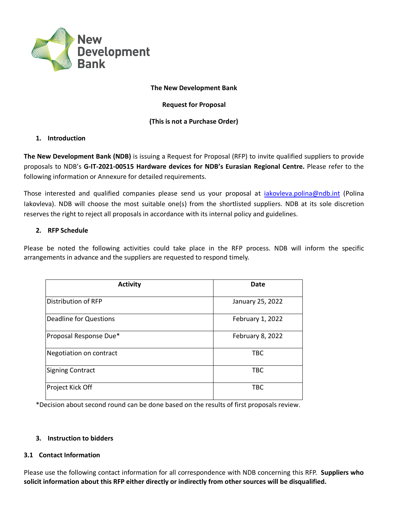

#### **The New Development Bank**

**Request for Proposal**

# **(This is not a Purchase Order)**

## **1. Introduction**

**The New Development Bank (NDB)** is issuing a Request for Proposal (RFP) to invite qualified suppliers to provide proposals to NDB's **G-IT-2021-00515 Hardware devices for NDB's Eurasian Regional Centre.** Please refer to the following information or Annexure for detailed requirements.

Those interested and qualified companies please send us your proposal at [iakovleva.polina@ndb.int](mailto:iakovleva.polina@ndb.int) (Polina Iakovleva). NDB will choose the most suitable one(s) from the shortlisted suppliers. NDB at its sole discretion reserves the right to reject all proposals in accordance with its internal policy and guidelines.

## **2. RFP Schedule**

Please be noted the following activities could take place in the RFP process. NDB will inform the specific arrangements in advance and the suppliers are requested to respond timely.

| <b>Activity</b>               | Date             |
|-------------------------------|------------------|
| Distribution of RFP           | January 25, 2022 |
| <b>Deadline for Questions</b> | February 1, 2022 |
| Proposal Response Due*        | February 8, 2022 |
| Negotiation on contract       | <b>TBC</b>       |
| Signing Contract              | <b>TBC</b>       |
| Project Kick Off              | <b>TBC</b>       |

\*Decision about second round can be done based on the results of first proposals review.

#### **3. Instruction to bidders**

# **3.1 Contact Information**

Please use the following contact information for all correspondence with NDB concerning this RFP. **Suppliers who solicit information about this RFP either directly or indirectly from other sources will be disqualified.**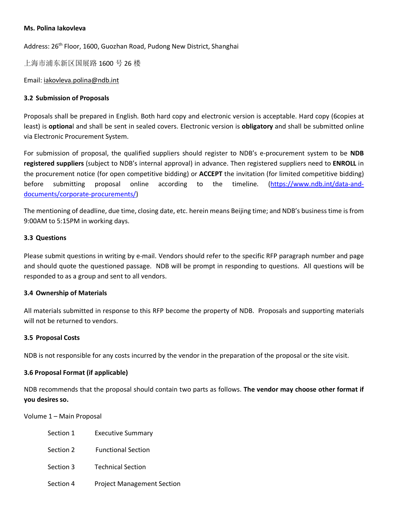#### **Ms. Polina Iakovleva**

Address: 26<sup>th</sup> Floor, 1600, Guozhan Road, Pudong New District, Shanghai

上海市浦东新区国展路 1600 号 26 楼

Email: [iakovleva.polina@ndb.int](mailto:iakovleva.polina@ndb.int)

### **3.2 Submission of Proposals**

Proposals shall be prepared in English. Both hard copy and electronic version is acceptable. Hard copy (6copies at least) is **optiona**l and shall be sent in sealed covers. Electronic version is **obligatory** and shall be submitted online via Electronic Procurement System.

For submission of proposal, the qualified suppliers should register to NDB's e-procurement system to be **NDB registered suppliers** (subject to NDB's internal approval) in advance. Then registered suppliers need to **ENROLL** in the procurement notice (for open competitive bidding) or **ACCEPT** the invitation (for limited competitive bidding) before submitting proposal online according to the timeline. [\(https://www.ndb.int/data-and](https://www.ndb.int/data-and-documents/corporate-procurements/)[documents/corporate-procurements/\)](https://www.ndb.int/data-and-documents/corporate-procurements/)

The mentioning of deadline, due time, closing date, etc. herein means Beijing time; and NDB's business time is from 9:00AM to 5:15PM in working days.

#### **3.3 Questions**

Please submit questions in writing by e-mail. Vendors should refer to the specific RFP paragraph number and page and should quote the questioned passage. NDB will be prompt in responding to questions. All questions will be responded to as a group and sent to all vendors.

#### **3.4 Ownership of Materials**

All materials submitted in response to this RFP become the property of NDB. Proposals and supporting materials will not be returned to vendors.

#### **3.5 Proposal Costs**

NDB is not responsible for any costs incurred by the vendor in the preparation of the proposal or the site visit.

#### **3.6 Proposal Format (if applicable)**

NDB recommends that the proposal should contain two parts as follows. **The vendor may choose other format if you desires so.**

Volume 1 – Main Proposal

| Section 1 | <b>Executive Summary</b>          |
|-----------|-----------------------------------|
| Section 2 | <b>Functional Section</b>         |
| Section 3 | <b>Technical Section</b>          |
| Section 4 | <b>Project Management Section</b> |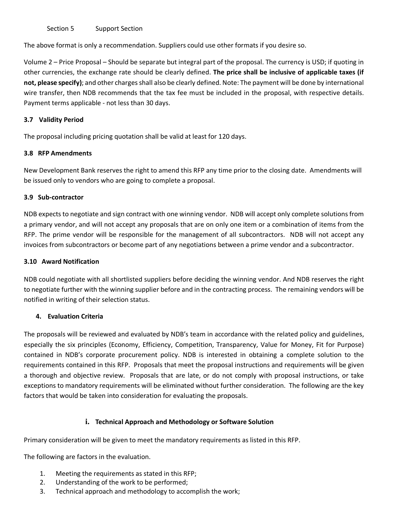Section 5 Support Section

The above format is only a recommendation. Suppliers could use other formats if you desire so.

Volume 2 – Price Proposal – Should be separate but integral part of the proposal. The currency is USD; if quoting in other currencies, the exchange rate should be clearly defined. **The price shall be inclusive of applicable taxes (if not, please specify)**; and other charges shall also be clearly defined. Note: The payment will be done by international wire transfer, then NDB recommends that the tax fee must be included in the proposal, with respective details. Payment terms applicable - not less than 30 days.

## **3.7 Validity Period**

The proposal including pricing quotation shall be valid at least for 120 days.

## **3.8 RFP Amendments**

New Development Bank reserves the right to amend this RFP any time prior to the closing date. Amendments will be issued only to vendors who are going to complete a proposal.

## **3.9 Sub-contractor**

NDB expects to negotiate and sign contract with one winning vendor. NDB will accept only complete solutions from a primary vendor, and will not accept any proposals that are on only one item or a combination of items from the RFP. The prime vendor will be responsible for the management of all subcontractors. NDB will not accept any invoices from subcontractors or become part of any negotiations between a prime vendor and a subcontractor.

## **3.10 Award Notification**

NDB could negotiate with all shortlisted suppliers before deciding the winning vendor. And NDB reserves the right to negotiate further with the winning supplier before and in the contracting process. The remaining vendors will be notified in writing of their selection status.

# **4. Evaluation Criteria**

The proposals will be reviewed and evaluated by NDB's team in accordance with the related policy and guidelines, especially the six principles (Economy, Efficiency, Competition, Transparency, Value for Money, Fit for Purpose) contained in NDB's corporate procurement policy. NDB is interested in obtaining a complete solution to the requirements contained in this RFP. Proposals that meet the proposal instructions and requirements will be given a thorough and objective review. Proposals that are late, or do not comply with proposal instructions, or take exceptions to mandatory requirements will be eliminated without further consideration. The following are the key factors that would be taken into consideration for evaluating the proposals.

# **i. Technical Approach and Methodology or Software Solution**

Primary consideration will be given to meet the mandatory requirements as listed in this RFP.

The following are factors in the evaluation.

- 1. Meeting the requirements as stated in this RFP;
- 2. Understanding of the work to be performed;
- 3. Technical approach and methodology to accomplish the work;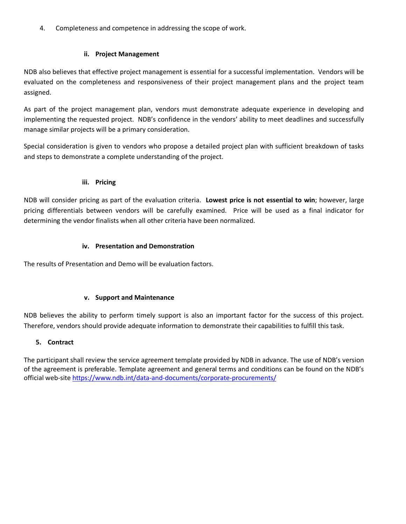4. Completeness and competence in addressing the scope of work.

## **ii. Project Management**

NDB also believes that effective project management is essential for a successful implementation. Vendors will be evaluated on the completeness and responsiveness of their project management plans and the project team assigned.

As part of the project management plan, vendors must demonstrate adequate experience in developing and implementing the requested project. NDB's confidence in the vendors' ability to meet deadlines and successfully manage similar projects will be a primary consideration.

Special consideration is given to vendors who propose a detailed project plan with sufficient breakdown of tasks and steps to demonstrate a complete understanding of the project.

## **iii. Pricing**

NDB will consider pricing as part of the evaluation criteria. **Lowest price is not essential to win**; however, large pricing differentials between vendors will be carefully examined. Price will be used as a final indicator for determining the vendor finalists when all other criteria have been normalized.

## **iv. Presentation and Demonstration**

The results of Presentation and Demo will be evaluation factors.

#### **v. Support and Maintenance**

NDB believes the ability to perform timely support is also an important factor for the success of this project. Therefore, vendors should provide adequate information to demonstrate their capabilities to fulfill this task.

# **5. Contract**

The participant shall review the service agreement template provided by NDB in advance. The use of NDB's version of the agreement is preferable. Template agreement and general terms and conditions can be found on the NDB's official web-site<https://www.ndb.int/data-and-documents/corporate-procurements/>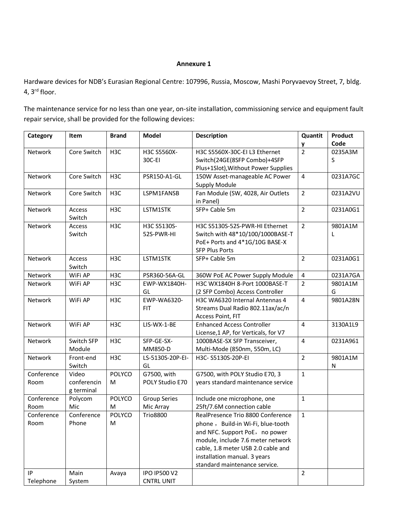#### **Annexure 1**

Hardware devices for NDB's Eurasian Regional Centre: 107996, Russia, Moscow, Mashi Poryvaevoy Street, 7, bldg. 4, 3rd floor.

The maintenance service for no less than one year, on-site installation, commissioning service and equipment fault repair service, shall be provided for the following devices:

| Category   | Item             | <b>Brand</b>     | Model               | <b>Description</b>                   | Quantit                 | Product  |
|------------|------------------|------------------|---------------------|--------------------------------------|-------------------------|----------|
|            |                  |                  |                     |                                      | y                       | Code     |
| Network    | Core Switch      | H <sub>3</sub> C | H3C S5560X-         | H3C S5560X-30C-EI L3 Ethernet        | $\overline{2}$          | 0235A3M  |
|            |                  |                  | 30C-EI              | Switch(24GE(8SFP Combo)+4SFP         |                         | S        |
|            |                  |                  |                     | Plus+1Slot), Without Power Supplies  |                         |          |
| Network    | Core Switch      | H <sub>3</sub> C | PSR150-A1-GL        | 150W Asset-manageable AC Power       | $\overline{4}$          | 0231A7GC |
|            |                  |                  |                     | <b>Supply Module</b>                 |                         |          |
| Network    | Core Switch      | H <sub>3</sub> C | LSPM1FANSB          | Fan Module (SW, 4028, Air Outlets    | $\overline{2}$          | 0231A2VU |
|            |                  |                  |                     | in Panel)                            |                         |          |
| Network    | Access<br>Switch | H <sub>3</sub> C | LSTM1STK            | SFP+ Cable 5m                        | $\overline{2}$          | 0231A0G1 |
| Network    | Access           | H <sub>3</sub> C | H3C S5130S-         | H3C S5130S-52S-PWR-HI Ethernet       | $\overline{2}$          | 9801A1M  |
|            | Switch           |                  | 52S-PWR-HI          | Switch with 48*10/100/1000BASE-T     |                         | L        |
|            |                  |                  |                     | PoE+ Ports and 4*1G/10G BASE-X       |                         |          |
|            |                  |                  |                     | <b>SFP Plus Ports</b>                |                         |          |
| Network    | Access           | H <sub>3</sub> C | LSTM1STK            | SFP+ Cable 5m                        | $\overline{2}$          | 0231A0G1 |
|            | Switch           |                  |                     |                                      |                         |          |
| Network    | WiFi AP          | H <sub>3</sub> C | PSR360-56A-GL       | 360W PoE AC Power Supply Module      | $\overline{\mathbf{4}}$ | 0231A7GA |
| Network    | WiFi AP          | H <sub>3</sub> C | EWP-WX1840H-        | H3C WX1840H 8-Port 1000BASE-T        | $\overline{2}$          | 9801A1M  |
|            |                  |                  | GL                  | (2 SFP Combo) Access Controller      |                         | G        |
| Network    | WiFi AP          | H <sub>3</sub> C | EWP-WA6320-         | H3C WA6320 Internal Antennas 4       | $\overline{4}$          | 9801A28N |
|            |                  |                  | <b>FIT</b>          | Streams Dual Radio 802.11ax/ac/n     |                         |          |
|            |                  |                  |                     | Access Point, FIT                    |                         |          |
| Network    | WiFi AP          | H <sub>3</sub> C | LIS-WX-1-BE         | <b>Enhanced Access Controller</b>    | $\overline{\mathbf{4}}$ | 3130A1L9 |
|            |                  |                  |                     | License, 1 AP, for Verticals, for V7 |                         |          |
| Network    | Switch SFP       | H <sub>3</sub> C | SFP-GE-SX-          | 1000BASE-SX SFP Transceiver,         | 4                       | 0231A961 |
|            | Module           |                  | MM850-D             | Multi-Mode (850nm, 550m, LC)         |                         |          |
| Network    | Front-end        | H <sub>3C</sub>  | LS-5130S-20P-EI-    | H3C-S5130S-20P-EI                    | $\overline{2}$          | 9801A1M  |
|            | Switch           |                  | GL                  |                                      |                         | N        |
| Conference | Video            | POLYCO           | G7500, with         | G7500, with POLY Studio E70, 3       | $\mathbf{1}$            |          |
| Room       | conferencin      | M                | POLY Studio E70     | years standard maintenance service   |                         |          |
|            | g terminal       |                  |                     |                                      |                         |          |
| Conference | Polycom          | POLYCO           | <b>Group Series</b> | Include one microphone, one          | $\mathbf{1}$            |          |
| Room       | Mic              | M                | Mic Array           | 25ft/7.6M connection cable           |                         |          |
| Conference | Conference       | POLYCO           | <b>Trio8800</b>     | RealPresence Trio 8800 Conference    | $\mathbf{1}$            |          |
| Room       | Phone            | M                |                     | phone, Build-in Wi-Fi, blue-tooth    |                         |          |
|            |                  |                  |                     | and NFC. Support PoE, no power       |                         |          |
|            |                  |                  |                     | module, include 7.6 meter network    |                         |          |
|            |                  |                  |                     | cable, 1.8 meter USB 2.0 cable and   |                         |          |
|            |                  |                  |                     | installation manual. 3 years         |                         |          |
|            |                  |                  |                     | standard maintenance service.        |                         |          |
| IP         | Main             | Avaya            | <b>IPO IP500 V2</b> |                                      | $\overline{2}$          |          |
| Telephone  | System           |                  | <b>CNTRL UNIT</b>   |                                      |                         |          |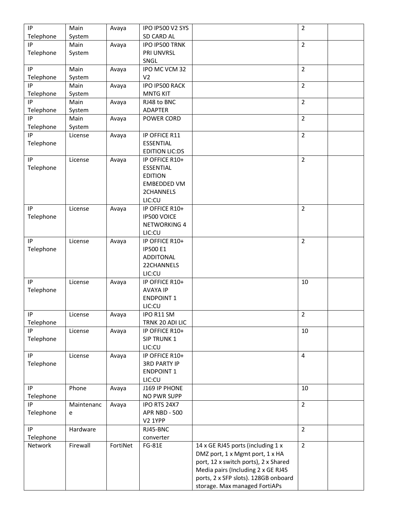| IP              | Main       | Avaya    | IPO IP500 V2 SYS                     |                                      | $\overline{2}$ |  |
|-----------------|------------|----------|--------------------------------------|--------------------------------------|----------------|--|
| Telephone       | System     |          | SD CARD AL                           |                                      |                |  |
| IP              | Main       | Avaya    | IPO IP500 TRNK                       |                                      | $\overline{2}$ |  |
| Telephone       | System     |          | PRI UNVRSL                           |                                      |                |  |
|                 |            |          | SNGL                                 |                                      |                |  |
| IP              | Main       | Avaya    | IPO MC VCM 32                        |                                      | $\overline{2}$ |  |
| Telephone       | System     |          | V <sub>2</sub>                       |                                      |                |  |
| IP              | Main       | Avaya    | IPO IP500 RACK                       |                                      | $\overline{2}$ |  |
| Telephone       | System     |          | <b>MNTG KIT</b>                      |                                      |                |  |
| IP              | Main       | Avaya    | RJ48 to BNC                          |                                      | $\overline{2}$ |  |
| Telephone       | System     |          | <b>ADAPTER</b>                       |                                      |                |  |
| IP              | Main       | Avaya    | POWER CORD                           |                                      | $\overline{2}$ |  |
| Telephone       | System     |          |                                      |                                      |                |  |
| IP              | License    | Avaya    | IP OFFICE R11                        |                                      | $\overline{2}$ |  |
| Telephone       |            |          | <b>ESSENTIAL</b>                     |                                      |                |  |
|                 |            |          | <b>EDITION LIC:DS</b>                |                                      |                |  |
| IP              | License    | Avaya    | IP OFFICE R10+                       |                                      | $\overline{2}$ |  |
| Telephone       |            |          | <b>ESSENTIAL</b>                     |                                      |                |  |
|                 |            |          | <b>EDITION</b>                       |                                      |                |  |
|                 |            |          | <b>EMBEDDED VM</b>                   |                                      |                |  |
|                 |            |          | 2CHANNELS                            |                                      |                |  |
|                 |            |          | LIC:CU                               |                                      |                |  |
| IP              | License    | Avaya    | IP OFFICE R10+                       |                                      | $\overline{2}$ |  |
| Telephone       |            |          | IP500 VOICE                          |                                      |                |  |
|                 |            |          | NETWORKING 4                         |                                      |                |  |
|                 |            |          | LIC:CU                               |                                      |                |  |
| IP              | License    | Avaya    | IP OFFICE R10+                       |                                      | $\overline{2}$ |  |
| Telephone       |            |          | <b>IP500 E1</b>                      |                                      |                |  |
|                 |            |          | <b>ADDITONAL</b>                     |                                      |                |  |
|                 |            |          | 22CHANNELS                           |                                      |                |  |
|                 |            |          | LIC:CU                               |                                      |                |  |
| IP              | License    |          | IP OFFICE R10+                       |                                      | 10             |  |
| Telephone       |            | Avaya    | <b>AVAYA IP</b>                      |                                      |                |  |
|                 |            |          | <b>ENDPOINT 1</b>                    |                                      |                |  |
|                 |            |          | LIC:CU                               |                                      |                |  |
| IP              | License    | Avaya    | IPO R11 SM                           |                                      | $\overline{2}$ |  |
| Telephone       |            |          | TRNK 20 ADI LIC                      |                                      |                |  |
| IP              | License    |          | IP OFFICE R10+                       |                                      | 10             |  |
| Telephone       |            | Avaya    | SIP TRUNK 1                          |                                      |                |  |
|                 |            |          | LIC:CU                               |                                      |                |  |
| IP              | License    |          | IP OFFICE R10+                       |                                      | $\overline{4}$ |  |
|                 |            | Avaya    | <b>3RD PARTY IP</b>                  |                                      |                |  |
| Telephone       |            |          | <b>ENDPOINT 1</b>                    |                                      |                |  |
|                 |            |          | LIC:CU                               |                                      |                |  |
| IP              | Phone      |          | J169 IP PHONE                        |                                      | 10             |  |
|                 |            | Avaya    |                                      |                                      |                |  |
| Telephone<br>IP |            |          | NO PWR SUPP                          |                                      |                |  |
| Telephone       | Maintenanc | Avaya    | IPO RTS 24X7<br><b>APR NBD - 500</b> |                                      | $\overline{2}$ |  |
|                 | e          |          | V2 1YPP                              |                                      |                |  |
| IP              |            |          |                                      |                                      | $\overline{2}$ |  |
|                 | Hardware   |          | RJ45-BNC                             |                                      |                |  |
| Telephone       | Firewall   | FortiNet | converter<br><b>FG-81E</b>           | 14 x GE RJ45 ports (including 1 x    | $\overline{2}$ |  |
| Network         |            |          |                                      | DMZ port, 1 x Mgmt port, 1 x HA      |                |  |
|                 |            |          |                                      | port, 12 x switch ports), 2 x Shared |                |  |
|                 |            |          |                                      | Media pairs (Including 2 x GE RJ45   |                |  |
|                 |            |          |                                      | ports, 2 x SFP slots). 128GB onboard |                |  |
|                 |            |          |                                      |                                      |                |  |
|                 |            |          |                                      | storage. Max managed FortiAPs        |                |  |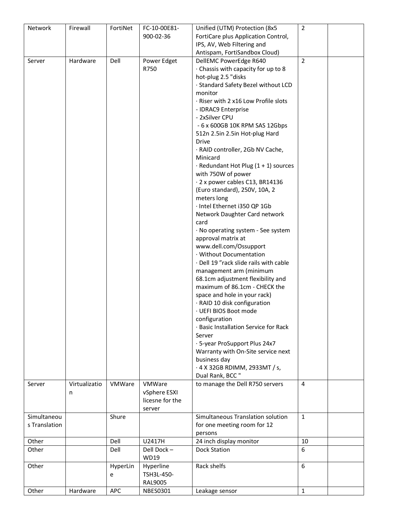| Network       | Firewall      | FortiNet | FC-10-00E81-    | Unified (UTM) Protection (8x5                         | $\overline{2}$ |  |
|---------------|---------------|----------|-----------------|-------------------------------------------------------|----------------|--|
|               |               |          | 900-02-36       | FortiCare plus Application Control,                   |                |  |
|               |               |          |                 | IPS, AV, Web Filtering and                            |                |  |
|               |               |          |                 | Antispam, FortiSandbox Cloud)                         |                |  |
| Server        | Hardware      | Dell     | Power Edget     | DellEMC PowerEdge R640                                | $\overline{2}$ |  |
|               |               |          | R750            | Chassis with capacity for up to 8                     |                |  |
|               |               |          |                 | hot-plug 2.5 "disks                                   |                |  |
|               |               |          |                 | · Standard Safety Bezel without LCD                   |                |  |
|               |               |          |                 | monitor                                               |                |  |
|               |               |          |                 | · Riser with 2 x16 Low Profile slots                  |                |  |
|               |               |          |                 | - IDRAC9 Enterprise                                   |                |  |
|               |               |          |                 | - 2xSilver CPU                                        |                |  |
|               |               |          |                 | - 6 x 600GB 10K RPM SAS 12Gbps                        |                |  |
|               |               |          |                 | 512n 2.5in 2.5in Hot-plug Hard                        |                |  |
|               |               |          |                 | Drive                                                 |                |  |
|               |               |          |                 | · RAID controller, 2Gb NV Cache,                      |                |  |
|               |               |          |                 | Minicard                                              |                |  |
|               |               |          |                 | $\cdot$ Redundant Hot Plug (1 + 1) sources            |                |  |
|               |               |          |                 | with 750W of power<br>· 2 x power cables C13, BR14136 |                |  |
|               |               |          |                 | (Euro standard), 250V, 10A, 2                         |                |  |
|               |               |          |                 | meters long                                           |                |  |
|               |               |          |                 | · Intel Ethernet i350 QP 1Gb                          |                |  |
|               |               |          |                 | Network Daughter Card network                         |                |  |
|               |               |          |                 | card                                                  |                |  |
|               |               |          |                 | · No operating system - See system                    |                |  |
|               |               |          |                 | approval matrix at                                    |                |  |
|               |               |          |                 | www.dell.com/Ossupport                                |                |  |
|               |               |          |                 | · Without Documentation                               |                |  |
|               |               |          |                 | · Dell 19 "rack slide rails with cable                |                |  |
|               |               |          |                 | management arm (minimum                               |                |  |
|               |               |          |                 | 68.1cm adjustment flexibility and                     |                |  |
|               |               |          |                 | maximum of 86.1cm - CHECK the                         |                |  |
|               |               |          |                 | space and hole in your rack)                          |                |  |
|               |               |          |                 | · RAID 10 disk configuration                          |                |  |
|               |               |          |                 | · UEFI BIOS Boot mode                                 |                |  |
|               |               |          |                 | configuration                                         |                |  |
|               |               |          |                 | · Basic Installation Service for Rack                 |                |  |
|               |               |          |                 | Server                                                |                |  |
|               |               |          |                 | · 5-year ProSupport Plus 24x7                         |                |  |
|               |               |          |                 | Warranty with On-Site service next                    |                |  |
|               |               |          |                 | business day                                          |                |  |
|               |               |          |                 | · 4 X 32GB RDIMM, 2933MT / s,                         |                |  |
|               |               |          |                 | Dual Rank, BCC "                                      |                |  |
| Server        | Virtualizatio | VMWare   | VMWare          | to manage the Dell R750 servers                       | 4              |  |
|               | n             |          | vSphere ESXI    |                                                       |                |  |
|               |               |          | licesne for the |                                                       |                |  |
|               |               |          | server          |                                                       |                |  |
| Simultaneou   |               | Shure    |                 | Simultaneous Translation solution                     | $\mathbf{1}$   |  |
| s Translation |               |          |                 | for one meeting room for 12                           |                |  |
|               |               |          |                 | persons                                               |                |  |
| Other         |               | Dell     | U2417H          | 24 inch display monitor                               | 10             |  |
| Other         |               | Dell     | Dell Dock-      | <b>Dock Station</b>                                   | 6              |  |
|               |               |          | <b>WD19</b>     |                                                       |                |  |
| Other         |               | HyperLin | Hyperline       | Rack shelfs                                           | 6              |  |
|               |               | e        | TSH3L-450-      |                                                       |                |  |
|               |               |          | <b>RAL9005</b>  |                                                       |                |  |
| Other         | Hardware      | APC      | <b>NBES0301</b> | Leakage sensor                                        | $\mathbf{1}$   |  |